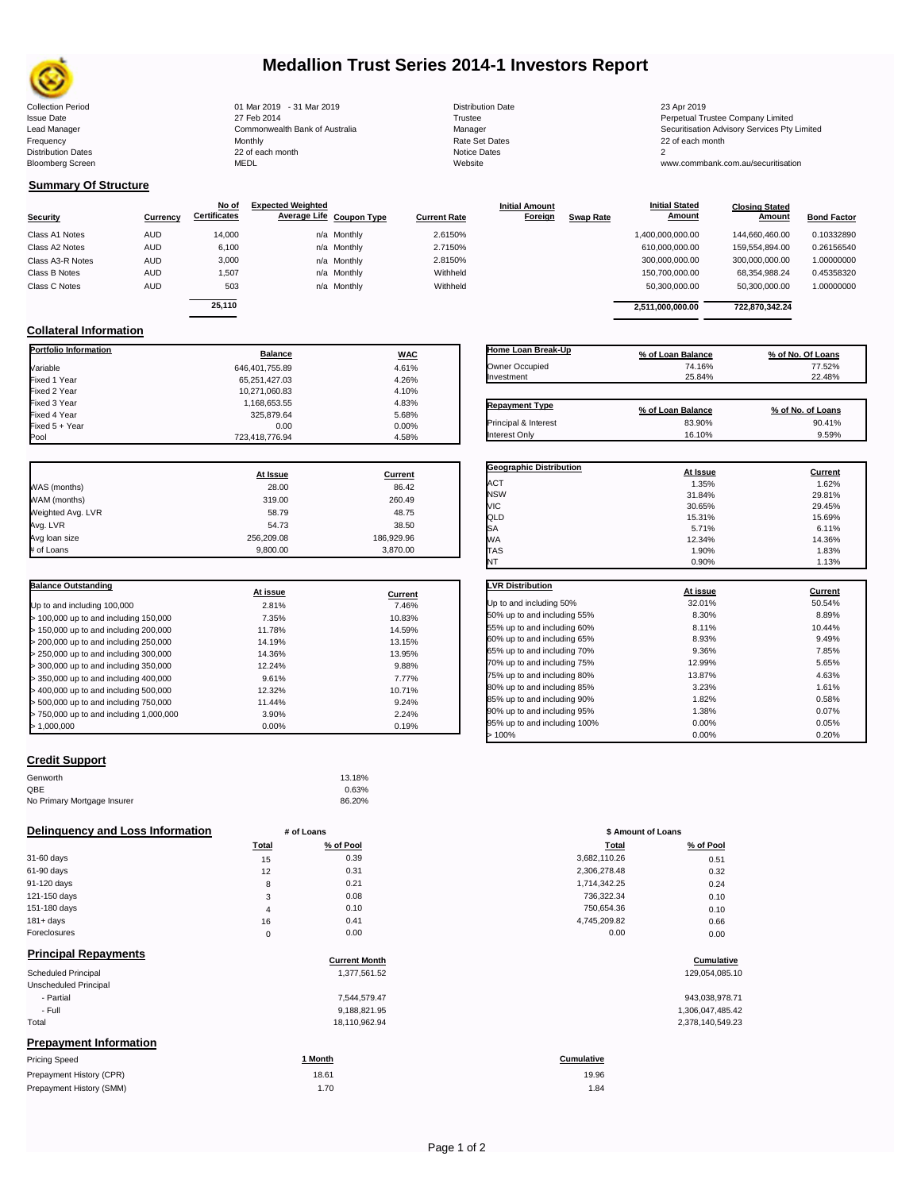

# **Medallion Trust Series 2014-1 Investors Report**

| <b>Collection Period</b>  | 01 Mar 2019 - 31 Mar 2019      | <b>Distribution Date</b> | 23 Apr 2019                                  |
|---------------------------|--------------------------------|--------------------------|----------------------------------------------|
| <b>Issue Date</b>         | 27 Feb 2014                    | Trustee                  | Perpetual Trustee Company Limited            |
| Lead Manager              | Commonwealth Bank of Australia | Manager                  | Securitisation Advisory Services Pty Limited |
| Frequency                 | Monthly                        | Rate Set Dates           | 22 of each month                             |
| <b>Distribution Dates</b> | 22 of each month               | Notice Dates             |                                              |
| <b>Bloomberg Screen</b>   | MEDL                           | Website                  | www.commbank.com.au/securitisation           |
|                           |                                |                          |                                              |

| <b>Distribution Dat</b> |  |
|-------------------------|--|
| Trustee                 |  |
| Manager                 |  |
| <b>Rate Set Dates</b>   |  |
| <b>Notice Dates</b>     |  |
| Website                 |  |

**Initial Amount** 

**Closing Stated Amount**

# **Summary Of Structure**

**Collateral Information**

|                  |            | No of               | <b>Expected Weighted</b> |             |                     | <b>Initial Amount</b> |                  | <b>Initial Stated</b> | <b>Closing Stated</b> |                    |
|------------------|------------|---------------------|--------------------------|-------------|---------------------|-----------------------|------------------|-----------------------|-----------------------|--------------------|
| <b>Security</b>  | Currency   | <b>Certificates</b> | Average Life Coupon Type |             | <b>Current Rate</b> | Foreign               | <b>Swap Rate</b> | <b>Amount</b>         | Amount                | <b>Bond Factor</b> |
| Class A1 Notes   | AUD        | 14,000              |                          | n/a Monthly | 2.6150%             |                       |                  | 1,400,000,000.00      | 144.660.460.00        | 0.10332890         |
| Class A2 Notes   | <b>AUD</b> | 6,100               |                          | n/a Monthly | 2.7150%             |                       |                  | 610,000,000.00        | 159.554.894.00        | 0.26156540         |
| Class A3-R Notes | <b>AUD</b> | 3,000               |                          | n/a Monthly | 2.8150%             |                       |                  | 300,000,000.00        | 300,000,000.00        | 1.00000000         |
| Class B Notes    | AUD        | 1,507               |                          | n/a Monthly | Withheld            |                       |                  | 150,700,000.00        | 68.354.988.24         | 0.45358320         |
| Class C Notes    | <b>AUD</b> | 503                 |                          | n/a Monthly | Withheld            |                       |                  | 50,300,000.00         | 50,300,000.00         | 1.00000000         |
|                  |            | 25.110              |                          |             |                     |                       |                  |                       |                       |                    |
|                  |            |                     |                          |             |                     |                       |                  | 2.511.000.000.00      | 722.870.342.24        |                    |

**Portfolio Information Balance WAC** Variable 646,401,755.89 4.61% Fixed 1 Year 65,251,427.03 4.26% Fixed 2 Year 10,271,060.83 4.10% Fixed 3 Year 1,168,653.55 4.83%

Fixed 5 + Year 0.00 0.00%

723,418,776.94

| Home Loan Break-Up    | % of Loan Balance | % of No. Of Loans |
|-----------------------|-------------------|-------------------|
| Owner Occupied        | 74.16%            | 77.52%            |
| Investment            | 25.84%            | 22.48%            |
| <b>Repayment Type</b> | % of Loan Balance | % of No. of Loans |
| Principal & Interest  | 83.90%            | 90.41%            |
| Interest Only         | 16.10%            | 9.59%             |

**Geographic Distribution**<br> **ACT ACT ACT ACT ACT ACT ACT ACT ACT ACT ACT ACT ACT ACT ACT ACT ACT ACT ACT ACT ACT ACT ACT ACT ACT ACT ACT** ACT 1.35% 1.62% NSW 31.84% 29.81% VIC 30.65% 29.45%

**Initial Stated** 

|                   | At Issue   | Current    |
|-------------------|------------|------------|
| WAS (months)      | 28.00      | 86.42      |
| WAM (months)      | 319.00     | 260.49     |
| Weighted Avg. LVR | 58.79      | 48.75      |
| Avg. LVR          | 54.73      | 38.50      |
| Avg loan size     | 256.209.08 | 186,929.96 |
| # of Loans        | 9.800.00   | 3,870.00   |

Fixed 325,879.64 5.68% 5.68%

| <b>Balance Outstanding</b>              | At issue | Current |
|-----------------------------------------|----------|---------|
| Up to and including 100,000             | 2.81%    | 7.46%   |
| $>$ 100,000 up to and including 150,000 | 7.35%    | 10.83%  |
| $>$ 150,000 up to and including 200,000 | 11.78%   | 14.59%  |
| > 200,000 up to and including 250,000   | 14.19%   | 13.15%  |
| > 250,000 up to and including 300,000   | 14.36%   | 13.95%  |
| > 300,000 up to and including 350,000   | 12.24%   | 9.88%   |
| $>$ 350,000 up to and including 400,000 | 9.61%    | 7.77%   |
| $>$ 400,000 up to and including 500,000 | 12.32%   | 10.71%  |
| > 500,000 up to and including 750,000   | 11.44%   | 9.24%   |
| > 750,000 up to and including 1,000,000 | 3.90%    | 2.24%   |
| > 1.000.000                             | $0.00\%$ | 0.19%   |

| QLD                          | 15.31%   | 15.69%  |
|------------------------------|----------|---------|
| SA                           | 5.71%    | 6.11%   |
| WА                           | 12.34%   | 14.36%  |
| <b>TAS</b>                   | 1.90%    | 1.83%   |
| NT                           | 0.90%    | 1.13%   |
| <b>LVR Distribution</b>      | At issue | Current |
| Up to and including 50%      | 32.01%   | 50.54%  |
| 50% up to and including 55%  | 8.30%    | 8.89%   |
| 55% up to and including 60%  | 8.11%    | 10.44%  |
| 60% up to and including 65%  | 8.93%    | 9.49%   |
| 65% up to and including 70%  | 9.36%    | 7.85%   |
| 70% up to and including 75%  | 12.99%   | 5.65%   |
| 75% up to and including 80%  | 13.87%   | 4.63%   |
| 80% up to and including 85%  | 3.23%    | 1.61%   |
| 85% up to and including 90%  | 1.82%    | 0.58%   |
| 90% up to and including 95%  | 1.38%    | 0.07%   |
| 95% up to and including 100% | 0.00%    | 0.05%   |
| >100%                        | 0.00%    | 0.20%   |

## **Credit Support**

| Genworth                    | 13.18% |
|-----------------------------|--------|
| QBE                         | 0.63%  |
| No Primary Mortgage Insurer | 86.20% |

### **Delinquency and Loss Information # of Loans**

|                                   | <b>Total</b> | % of Pool | Total        | % of Pool |
|-----------------------------------|--------------|-----------|--------------|-----------|
| 31-60 days                        | 15           | 0.39      | 3,682,110.26 | 0.51      |
| 61-90 days                        | 12           | 0.31      | 2,306,278.48 | 0.32      |
| 91-120 days                       | 8            | 0.21      | 1,714,342.25 | 0.24      |
| 121-150 days                      | 3            | 0.08      | 736,322.34   | 0.10      |
| 151-180 days                      | 4            | 0.10      | 750,654.36   | 0.10      |
| $181 + days$                      | 16           | 0.41      | 4,745,209.82 | 0.66      |
| Foreclosures                      | $\Omega$     | 0.00      | 0.00         | 0.00      |
| Believe the all Distances and all |              |           |              |           |

| FIIIIUI DAI NEPAVIIIEIII S    | <b>Current Month</b> | Cumulative       |
|-------------------------------|----------------------|------------------|
| <b>Scheduled Principal</b>    | 1,377,561.52         | 129,054,085.10   |
| Unscheduled Principal         |                      |                  |
| - Partial                     | 7.544.579.47         | 943,038,978.71   |
| - Full                        | 9,188,821.95         | 1,306,047,485.42 |
| Total                         | 18,110,962.94        | 2,378,140,549.23 |
| <b>Prepayment Information</b> |                      |                  |
| Pricing Speed                 | 1 Month              | Cumulative       |
|                               |                      |                  |

| Prepayment History (CPR) | 18.61 | 19.96 |
|--------------------------|-------|-------|
| Prepayment History (SMM) |       | 1.84  |

|  | Page 1 of 2 |  |  |  |
|--|-------------|--|--|--|
|--|-------------|--|--|--|

|            | 13.18%    |                    |           |
|------------|-----------|--------------------|-----------|
|            | 0.63%     |                    |           |
|            | 86.20%    |                    |           |
|            |           |                    |           |
| # of Loans |           | \$ Amount of Loans |           |
| Total      | % of Pool | Total              | % of Pool |
| 15         | 0.39      | 3,682,110.26       | 0.51      |
| 12         | 0.31      | 2,306,278.48       | 0.32      |
|            | .         | .                  |           |

| 306.278.48 | 0.32 |
|------------|------|
| 714,342.25 | 0.24 |
| 736,322.34 | 0.10 |
| 750.654.36 | 0.10 |
| 745.209.82 | 0.66 |
| 0.00       | 0.00 |
|            |      |

# **Cumulative**<br> **Cumulative**

| 943,038,978.71   |  |
|------------------|--|
| 1,306,047,485.42 |  |
| 2,378,140,549.23 |  |

19.96